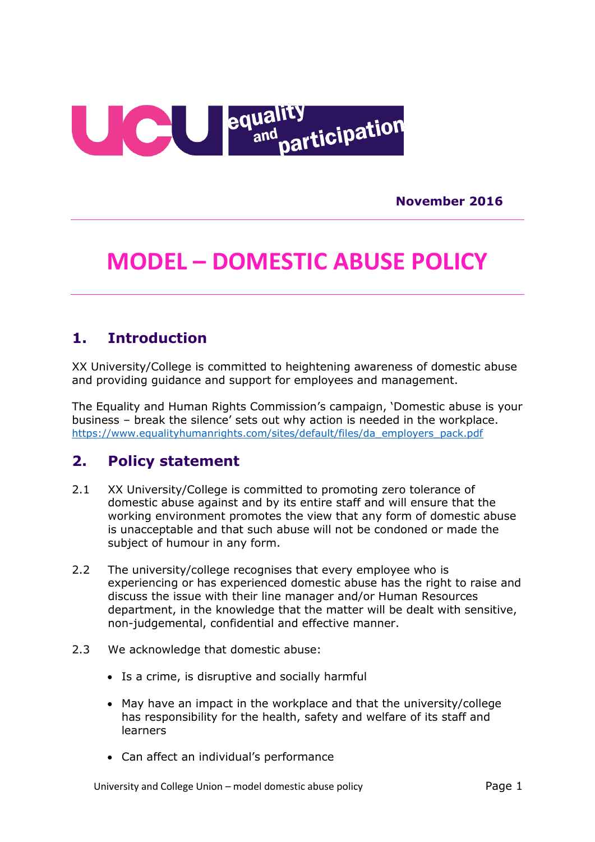

**November 2016**

# **MODEL – DOMESTIC ABUSE POLICY**

### **1. Introduction**

XX University/College is committed to heightening awareness of domestic abuse and providing guidance and support for employees and management.

The Equality and Human Rights Commission's campaign, 'Domestic abuse is your business – break the silence' sets out why action is needed in the workplace. [https://www.equalityhumanrights.com/sites/default/files/da\\_employers\\_pack.pdf](https://www.equalityhumanrights.com/sites/default/files/da_employers_pack.pdf)

### **2. Policy statement**

- 2.1 XX University/College is committed to promoting zero tolerance of domestic abuse against and by its entire staff and will ensure that the working environment promotes the view that any form of domestic abuse is unacceptable and that such abuse will not be condoned or made the subject of humour in any form.
- 2.2 The university/college recognises that every employee who is experiencing or has experienced domestic abuse has the right to raise and discuss the issue with their line manager and/or Human Resources department, in the knowledge that the matter will be dealt with sensitive, non-judgemental, confidential and effective manner.
- 2.3 We acknowledge that domestic abuse:
	- Is a crime, is disruptive and socially harmful
	- May have an impact in the workplace and that the university/college has responsibility for the health, safety and welfare of its staff and learners
	- Can affect an individual's performance

University and College Union – model domestic abuse policy example as the control of the Page 1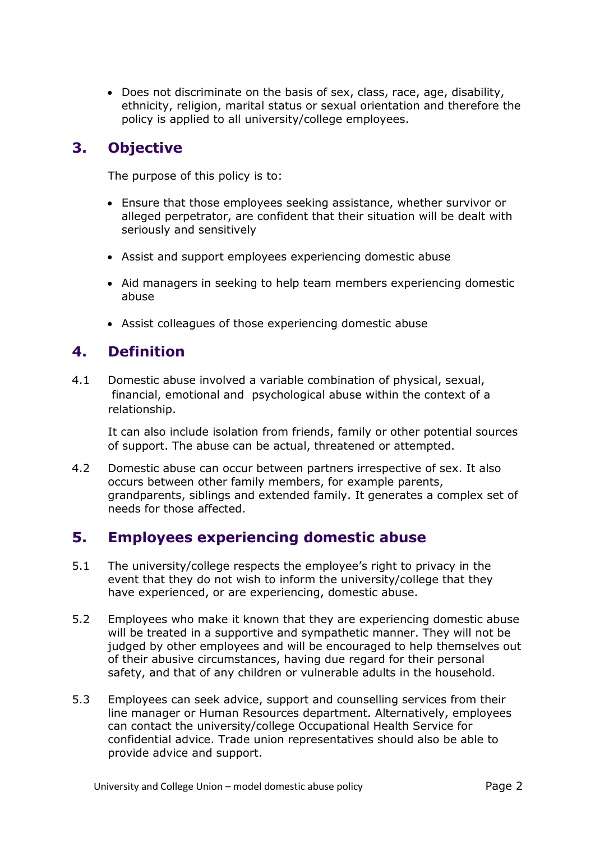• Does not discriminate on the basis of sex, class, race, age, disability, ethnicity, religion, marital status or sexual orientation and therefore the policy is applied to all university/college employees.

# **3. Objective**

The purpose of this policy is to:

- Ensure that those employees seeking assistance, whether survivor or alleged perpetrator, are confident that their situation will be dealt with seriously and sensitively
- Assist and support employees experiencing domestic abuse
- Aid managers in seeking to help team members experiencing domestic abuse
- Assist colleagues of those experiencing domestic abuse

# **4. Definition**

4.1 Domestic abuse involved a variable combination of physical, sexual, financial, emotional and psychological abuse within the context of a relationship.

It can also include isolation from friends, family or other potential sources of support. The abuse can be actual, threatened or attempted.

4.2 Domestic abuse can occur between partners irrespective of sex. It also occurs between other family members, for example parents, grandparents, siblings and extended family. It generates a complex set of needs for those affected.

### **5. Employees experiencing domestic abuse**

- 5.1 The university/college respects the employee's right to privacy in the event that they do not wish to inform the university/college that they have experienced, or are experiencing, domestic abuse.
- 5.2 Employees who make it known that they are experiencing domestic abuse will be treated in a supportive and sympathetic manner. They will not be judged by other employees and will be encouraged to help themselves out of their abusive circumstances, having due regard for their personal safety, and that of any children or vulnerable adults in the household.
- 5.3 Employees can seek advice, support and counselling services from their line manager or Human Resources department. Alternatively, employees can contact the university/college Occupational Health Service for confidential advice. Trade union representatives should also be able to provide advice and support.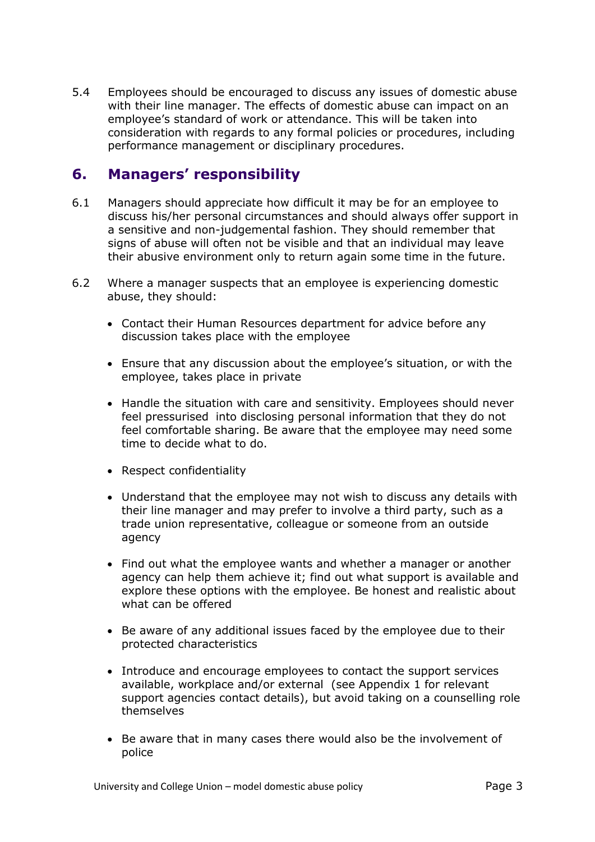5.4 Employees should be encouraged to discuss any issues of domestic abuse with their line manager. The effects of domestic abuse can impact on an employee's standard of work or attendance. This will be taken into consideration with regards to any formal policies or procedures, including performance management or disciplinary procedures.

## **6. Managers' responsibility**

- 6.1 Managers should appreciate how difficult it may be for an employee to discuss his/her personal circumstances and should always offer support in a sensitive and non-judgemental fashion. They should remember that signs of abuse will often not be visible and that an individual may leave their abusive environment only to return again some time in the future.
- 6.2 Where a manager suspects that an employee is experiencing domestic abuse, they should:
	- Contact their Human Resources department for advice before any discussion takes place with the employee
	- Ensure that any discussion about the employee's situation, or with the employee, takes place in private
	- Handle the situation with care and sensitivity. Employees should never feel pressurised into disclosing personal information that they do not feel comfortable sharing. Be aware that the employee may need some time to decide what to do.
	- Respect confidentiality
	- Understand that the employee may not wish to discuss any details with their line manager and may prefer to involve a third party, such as a trade union representative, colleague or someone from an outside agency
	- Find out what the employee wants and whether a manager or another agency can help them achieve it; find out what support is available and explore these options with the employee. Be honest and realistic about what can be offered
	- Be aware of any additional issues faced by the employee due to their protected characteristics
	- Introduce and encourage employees to contact the support services available, workplace and/or external (see Appendix 1 for relevant support agencies contact details), but avoid taking on a counselling role themselves
	- Be aware that in many cases there would also be the involvement of police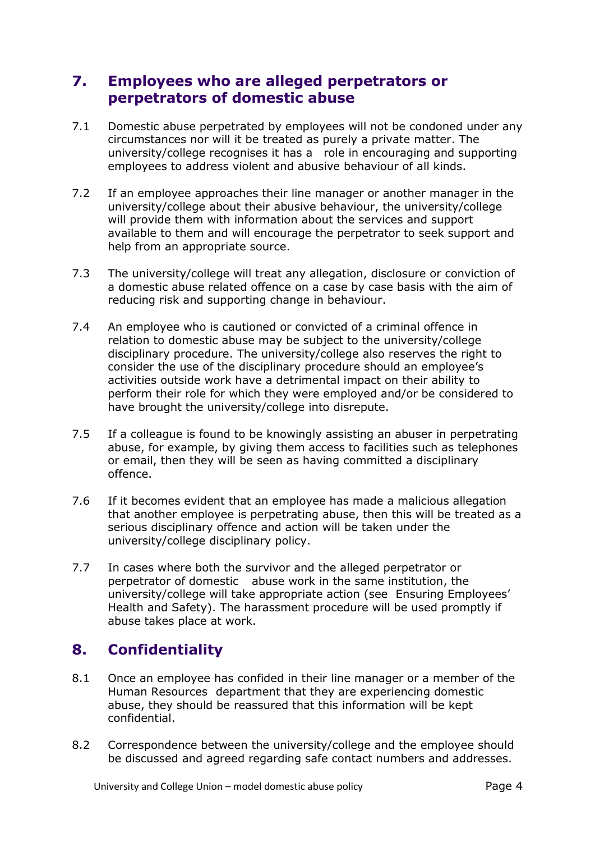## **7. Employees who are alleged perpetrators or perpetrators of domestic abuse**

- 7.1 Domestic abuse perpetrated by employees will not be condoned under any circumstances nor will it be treated as purely a private matter. The university/college recognises it has a role in encouraging and supporting employees to address violent and abusive behaviour of all kinds.
- 7.2 If an employee approaches their line manager or another manager in the university/college about their abusive behaviour, the university/college will provide them with information about the services and support available to them and will encourage the perpetrator to seek support and help from an appropriate source.
- 7.3 The university/college will treat any allegation, disclosure or conviction of a domestic abuse related offence on a case by case basis with the aim of reducing risk and supporting change in behaviour.
- 7.4 An employee who is cautioned or convicted of a criminal offence in relation to domestic abuse may be subject to the university/college disciplinary procedure. The university/college also reserves the right to consider the use of the disciplinary procedure should an employee's activities outside work have a detrimental impact on their ability to perform their role for which they were employed and/or be considered to have brought the university/college into disrepute.
- 7.5 If a colleague is found to be knowingly assisting an abuser in perpetrating abuse, for example, by giving them access to facilities such as telephones or email, then they will be seen as having committed a disciplinary offence.
- 7.6 If it becomes evident that an employee has made a malicious allegation that another employee is perpetrating abuse, then this will be treated as a serious disciplinary offence and action will be taken under the university/college disciplinary policy.
- 7.7 In cases where both the survivor and the alleged perpetrator or perpetrator of domestic abuse work in the same institution, the university/college will take appropriate action (see Ensuring Employees' Health and Safety). The harassment procedure will be used promptly if abuse takes place at work.

# **8. Confidentiality**

- 8.1 Once an employee has confided in their line manager or a member of the Human Resources department that they are experiencing domestic abuse, they should be reassured that this information will be kept confidential.
- 8.2 Correspondence between the university/college and the employee should be discussed and agreed regarding safe contact numbers and addresses.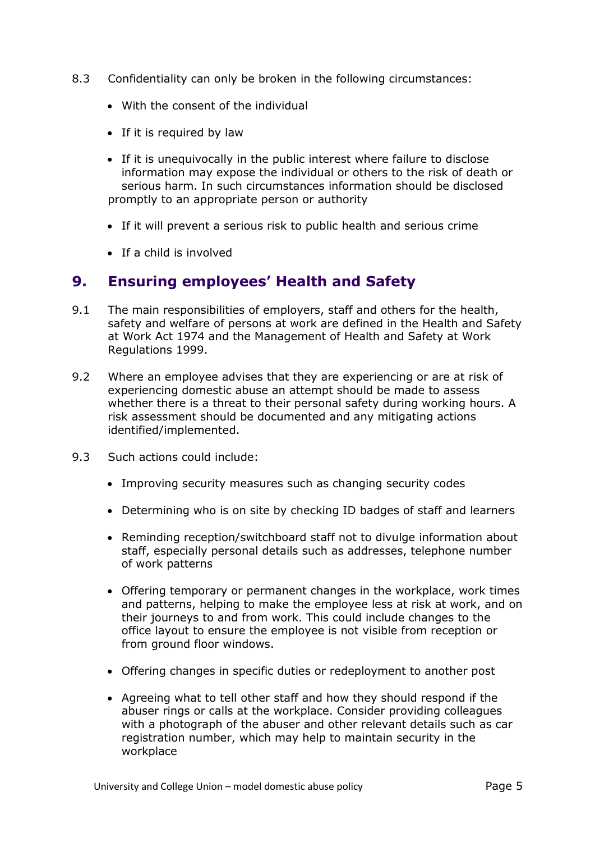- 8.3 Confidentiality can only be broken in the following circumstances:
	- With the consent of the individual
	- If it is required by law
	- If it is unequivocally in the public interest where failure to disclose information may expose the individual or others to the risk of death or serious harm. In such circumstances information should be disclosed promptly to an appropriate person or authority
	- If it will prevent a serious risk to public health and serious crime
	- If a child is involved

### **9. Ensuring employees' Health and Safety**

- 9.1 The main responsibilities of employers, staff and others for the health, safety and welfare of persons at work are defined in the Health and Safety at Work Act 1974 and the Management of Health and Safety at Work Regulations 1999.
- 9.2 Where an employee advises that they are experiencing or are at risk of experiencing domestic abuse an attempt should be made to assess whether there is a threat to their personal safety during working hours. A risk assessment should be documented and any mitigating actions identified/implemented.
- 9.3 Such actions could include:
	- Improving security measures such as changing security codes
	- Determining who is on site by checking ID badges of staff and learners
	- Reminding reception/switchboard staff not to divulge information about staff, especially personal details such as addresses, telephone number of work patterns
	- Offering temporary or permanent changes in the workplace, work times and patterns, helping to make the employee less at risk at work, and on their journeys to and from work. This could include changes to the office layout to ensure the employee is not visible from reception or from ground floor windows.
	- Offering changes in specific duties or redeployment to another post
	- Agreeing what to tell other staff and how they should respond if the abuser rings or calls at the workplace. Consider providing colleagues with a photograph of the abuser and other relevant details such as car registration number, which may help to maintain security in the workplace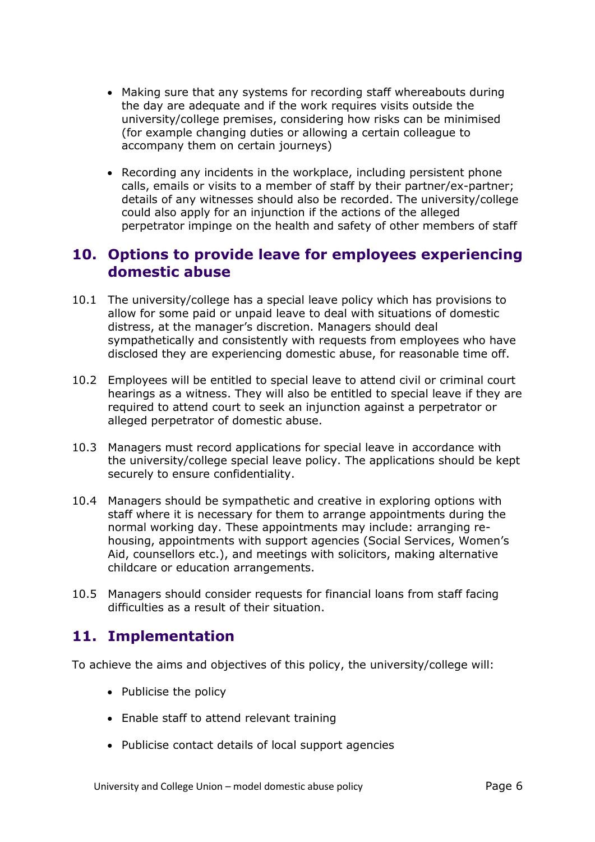- Making sure that any systems for recording staff whereabouts during the day are adequate and if the work requires visits outside the university/college premises, considering how risks can be minimised (for example changing duties or allowing a certain colleague to accompany them on certain journeys)
- Recording any incidents in the workplace, including persistent phone calls, emails or visits to a member of staff by their partner/ex-partner; details of any witnesses should also be recorded. The university/college could also apply for an injunction if the actions of the alleged perpetrator impinge on the health and safety of other members of staff

## **10. Options to provide leave for employees experiencing domestic abuse**

- 10.1 The university/college has a special leave policy which has provisions to allow for some paid or unpaid leave to deal with situations of domestic distress, at the manager's discretion. Managers should deal sympathetically and consistently with requests from employees who have disclosed they are experiencing domestic abuse, for reasonable time off.
- 10.2 Employees will be entitled to special leave to attend civil or criminal court hearings as a witness. They will also be entitled to special leave if they are required to attend court to seek an injunction against a perpetrator or alleged perpetrator of domestic abuse.
- 10.3 Managers must record applications for special leave in accordance with the university/college special leave policy. The applications should be kept securely to ensure confidentiality.
- 10.4 Managers should be sympathetic and creative in exploring options with staff where it is necessary for them to arrange appointments during the normal working day. These appointments may include: arranging rehousing, appointments with support agencies (Social Services, Women's Aid, counsellors etc.), and meetings with solicitors, making alternative childcare or education arrangements.
- 10.5 Managers should consider requests for financial loans from staff facing difficulties as a result of their situation.

# **11. Implementation**

To achieve the aims and objectives of this policy, the university/college will:

- Publicise the policy
- Enable staff to attend relevant training
- Publicise contact details of local support agencies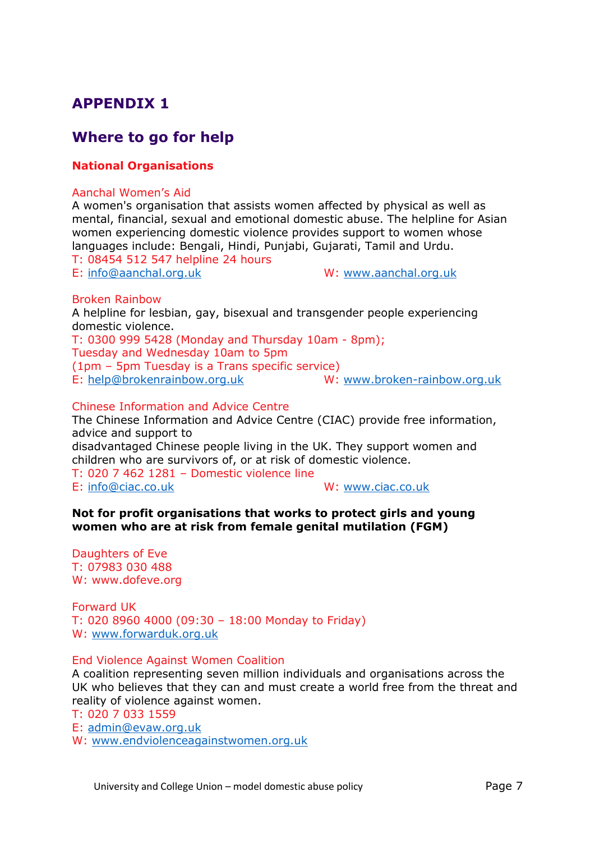# **APPENDIX 1**

## **Where to go for help**

### **National Organisations**

#### Aanchal Women's Aid

A women's organisation that assists women affected by physical as well as mental, financial, sexual and emotional domestic abuse. The helpline for Asian women experiencing domestic violence provides support to women whose languages include: Bengali, Hindi, Punjabi, Gujarati, Tamil and Urdu. T: 08454 512 547 helpline 24 hours

E: [info@aanchal.org.uk](mailto:info@aanchal.org.uk) W: [www.aanchal.org.uk](http://www.aanchal.org.uk/)

#### Broken Rainbow

A helpline for lesbian, gay, bisexual and transgender people experiencing domestic violence. T: 0300 999 5428 (Monday and Thursday 10am - 8pm); Tuesday and Wednesday 10am to 5pm (1pm – 5pm Tuesday is a Trans specific service) E: [help@brokenrainbow.org.uk](mailto:help@brokenrainbow.org.uk) W: [www.broken-rainbow.org.uk](http://www.broken-rainbow.org.uk/)

#### Chinese Information and Advice Centre

The Chinese Information and Advice Centre (CIAC) provide free information, advice and support to

disadvantaged Chinese people living in the UK. They support women and children who are survivors of, or at risk of domestic violence.

T: 020 7 462 1281 – Domestic violence line E: [info@ciac.co.uk](mailto:info@ciac.co.uk) W: [www.ciac.co.uk](http://www.ciac.co.uk/)

### **Not for profit organisations that works to protect girls and young women who are at risk from female genital mutilation (FGM)**

Daughters of Eve T: 07983 030 488 W: www.dofeve.org

Forward UK T: 020 8960 4000 (09:30 – 18:00 Monday to Friday) W: [www.forwarduk.org.uk](http://www.forwarduk.org.uk/)

#### End Violence Against Women Coalition

A coalition representing seven million individuals and organisations across the UK who believes that they can and must create a world free from the threat and reality of violence against women.

T: 020 7 033 1559

E: [admin@evaw.org.uk](mailto:admin@evaw.org.uk)

W: [www.endviolenceagainstwomen.org.uk](http://www.endviolenceagainstwomen.org.uk/)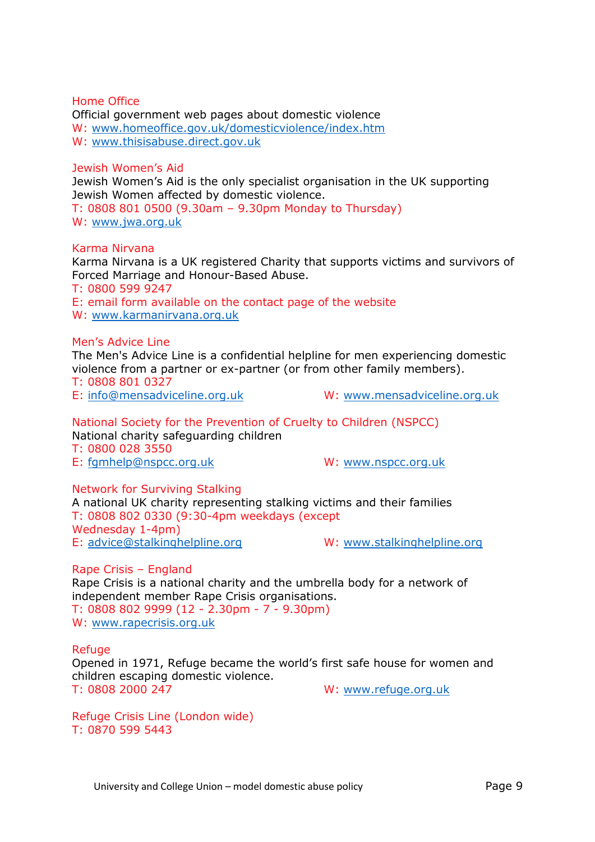Home Office Official government web pages about domestic violence W: [www.homeoffice.gov.uk/domesticviolence/index.htm](http://www.homeoffice.gov.uk/domesticviolence/index.htm) W: [www.thisisabuse.direct.gov.uk](http://www.thisisabuse.direct.gov.uk/)

#### Jewish Women's Aid

Jewish Women's Aid is the only specialist organisation in the UK supporting Jewish Women affected by domestic violence.

T: 0808 801 0500 (9.30am – 9.30pm Monday to Thursday) W: [www.jwa.org.uk](http://www.jwa.org.uk/)

#### Karma Nirvana

Karma Nirvana is a UK registered Charity that supports victims and survivors of Forced Marriage and Honour-Based Abuse.

T: 0800 599 9247 E: email form available on the contact page of the website W: [www.karmanirvana.org.uk](http://www.karmanirvana.org.uk/)

Men's Advice Line

The Men's Advice Line is a confidential helpline for men experiencing domestic violence from a partner or ex-partner (or from other family members). T: 0808 801 0327

E: [info@mensadviceline.org.uk](mailto:info@mensadviceline.org.uk) W: [www.mensadviceline.org.uk](http://www.mensadviceline.org.uk/)

National Society for the Prevention of Cruelty to Children (NSPCC) National charity safeguarding children T: 0800 028 3550 E: [fgmhelp@nspcc.org.uk](mailto:fgmhelp@nspcc.org.uk) W: [www.nspcc.org.uk](http://www.nspcc.org.uk/)

Network for Surviving Stalking

A national UK charity representing stalking victims and their families T: 0808 802 0330 (9:30-4pm weekdays (except Wednesday 1-4pm) E: [advice@stalkinghelpline.org](mailto:advice@stalkinghelpline.org) W: [www.stalkinghelpline.org](http://www.stalkinghelpline.org/)

Rape Crisis – England Rape Crisis is a national charity and the umbrella body for a network of independent member Rape Crisis organisations. T: 0808 802 9999 (12 - 2.30pm - 7 - 9.30pm) W: [www.rapecrisis.org.uk](http://www.rapecrisis.org.uk/)

Refuge

Opened in 1971, Refuge became the world's first safe house for women and children escaping domestic violence. T: 0808 2000 247 W: [www.refuge.org.uk](http://www.refuge.org.uk/)

Refuge Crisis Line (London wide) T: 0870 599 5443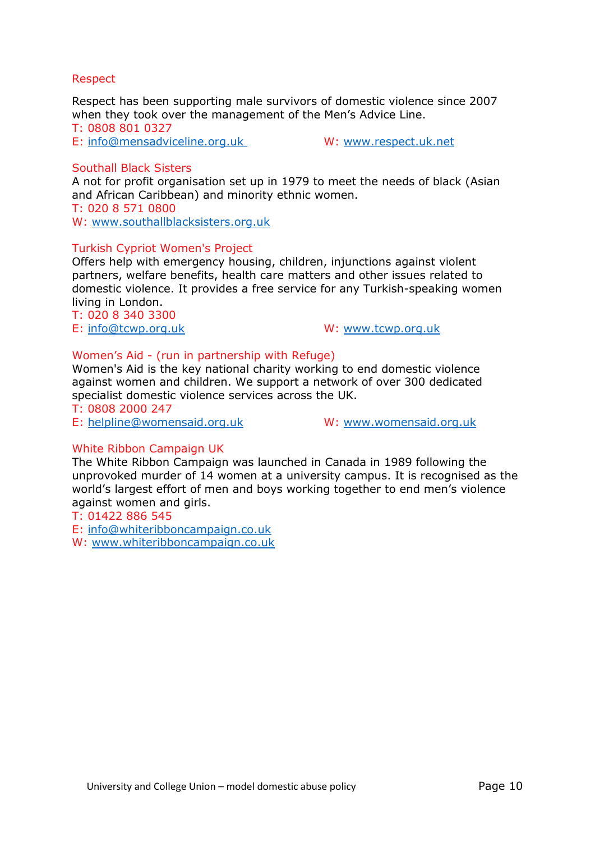### Respect

Respect has been supporting male survivors of domestic violence since 2007 when they took over the management of the Men's Advice Line.

T: 0808 801 0327

E: [info@mensadviceline.org.uk](mailto:info@mensadviceline.org.uk) W: [www.respect.uk.net](http://www.respect.uk.net/)

### Southall Black Sisters

A not for profit organisation set up in 1979 to meet the needs of black (Asian and African Caribbean) and minority ethnic women. T: 020 8 571 0800

W: [www.southallblacksisters.org.uk](http://www.southallblacksisters.org.uk/)

### Turkish Cypriot Women's Project

Offers help with emergency housing, children, injunctions against violent partners, welfare benefits, health care matters and other issues related to domestic violence. It provides a free service for any Turkish-speaking women living in London.

T: 020 8 340 3300

E: [info@tcwp.org.uk](mailto:info@tcwp.org.uk) W: [www.tcwp.org.uk](http://www.tcwp.org.uk/)

### Women's Aid - (run in partnership with Refuge)

Women's Aid is the key national charity working to end domestic violence against women and children. We support a network of over 300 dedicated specialist domestic violence services across the UK.

#### T: 0808 2000 247

E: [helpline@womensaid.org.uk](mailto:helpline@womensaid.org.uk) W: [www.womensaid.org.uk](http://www.womensaid.org.uk/)

### White Ribbon Campaign UK

The White Ribbon Campaign was launched in Canada in 1989 following the unprovoked murder of 14 women at a university campus. It is recognised as the world's largest effort of men and boys working together to end men's violence against women and girls.

### T: 01422 886 545

E: [info@whiteribboncampaign.co.uk](mailto:info@whiteribboncampaign.co.uk)

W: [www.whiteribboncampaign.co.uk](http://www.whiteribboncampaign.co.uk/)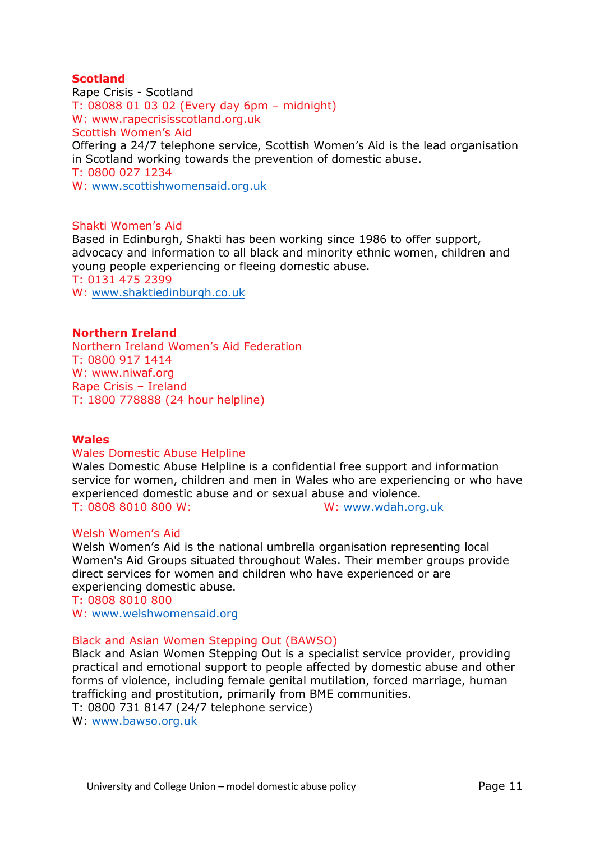### **Scotland**

Rape Crisis - Scotland T: 08088 01 03 02 (Every day 6pm – midnight) W: www.rapecrisisscotland.org.uk Scottish Women's Aid Offering a 24/7 telephone service, Scottish Women's Aid is the lead organisation in Scotland working towards the prevention of domestic abuse. T: 0800 027 1234 W: [www.scottishwomensaid.org.uk](http://www.scottishwomensaid.org.uk/)

### Shakti Women's Aid

Based in Edinburgh, Shakti has been working since 1986 to offer support, advocacy and information to all black and minority ethnic women, children and young people experiencing or fleeing domestic abuse. T: 0131 475 2399 W: [www.shaktiedinburgh.co.uk](http://www.shaktiedinburgh.co.uk/)

#### **Northern Ireland**

Northern Ireland Women's Aid Federation T: 0800 917 1414 W: www.niwaf.org Rape Crisis – Ireland T: 1800 778888 (24 hour helpline)

#### **Wales**

#### Wales Domestic Abuse Helpline

Wales Domestic Abuse Helpline is a confidential free support and information service for women, children and men in Wales who are experiencing or who have experienced domestic abuse and or sexual abuse and violence. T: 0808 8010 800 W: W: [www.wdah.org.uk](http://www.wdah.org.uk/)

#### Welsh Women's Aid

Welsh Women's Aid is the national umbrella organisation representing local Women's Aid Groups situated throughout Wales. Their member groups provide direct services for women and children who have experienced or are experiencing domestic abuse.

T: 0808 8010 800 W: [www.welshwomensaid.org](http://www.welshwomensaid.org/)

## Black and Asian Women Stepping Out (BAWSO)

Black and Asian Women Stepping Out is a specialist service provider, providing practical and emotional support to people affected by domestic abuse and other forms of violence, including female genital mutilation, forced marriage, human trafficking and prostitution, primarily from BME communities.

T: 0800 731 8147 (24/7 telephone service)

W: [www.bawso.org.uk](http://www.bawso.org.uk/)